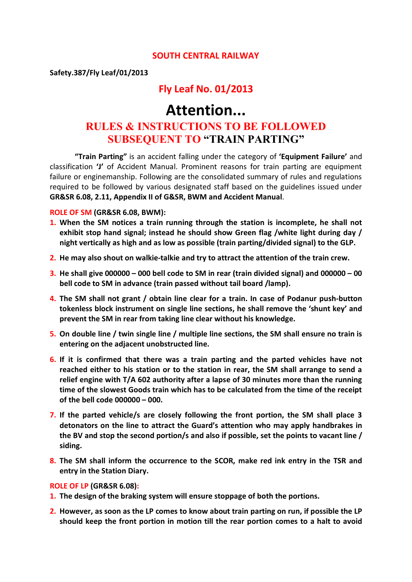#### **SOUTH CENTRAL RAILWAY**

**Safety.387/Fly Leaf/01/2013**

### **Fly Leaf No. 01/2013**

# **Attention... RULES & INSTRUCTIONS TO BE FOLLOWED SUBSEQUENT TO "TRAIN PARTING"**

**"Train Parting"** is an accident falling under the category of **'Equipment Failure'** and classification **'J'** of Accident Manual. Prominent reasons for train parting are equipment failure or enginemanship. Following are the consolidated summary of rules and regulations required to be followed by various designated staff based on the guidelines issued under **GR&SR 6.08, 2.11, Appendix II of G&SR, BWM and Accident Manual**.

#### **ROLE OF SM (GR&SR 6.08, BWM):**

- **1. When the SM notices a train running through the station is incomplete, he shall not exhibit stop hand signal; instead he should show Green flag /white light during day / night vertically as high and as low as possible (train parting/divided signal) to the GLP.**
- **2. He may also shout on walkie-talkie and try to attract the attention of the train crew.**
- **3. He shall give 000000 – 000 bell code to SM in rear (train divided signal) and 000000 – 00 bell code to SM in advance (train passed without tail board /lamp).**
- **4. The SM shall not grant / obtain line clear for a train. In case of Podanur push-button tokenless block instrument on single line sections, he shall remove the 'shunt key' and prevent the SM in rear from taking line clear without his knowledge.**
- **5. On double line / twin single line / multiple line sections, the SM shall ensure no train is entering on the adjacent unobstructed line.**
- **6. If it is confirmed that there was a train parting and the parted vehicles have not reached either to his station or to the station in rear, the SM shall arrange to send a relief engine with T/A 602 authority after a lapse of 30 minutes more than the running time of the slowest Goods train which has to be calculated from the time of the receipt of the bell code 000000 – 000.**
- **7. If the parted vehicle/s are closely following the front portion, the SM shall place 3 detonators on the line to attract the Guard's attention who may apply handbrakes in the BV and stop the second portion/s and also if possible, set the points to vacant line / siding.**
- **8. The SM shall inform the occurrence to the SCOR, make red ink entry in the TSR and entry in the Station Diary.**

#### **ROLE OF LP (GR&SR 6.08):**

- **1. The design of the braking system will ensure stoppage of both the portions.**
- **2. However, as soon as the LP comes to know about train parting on run, if possible the LP should keep the front portion in motion till the rear portion comes to a halt to avoid**